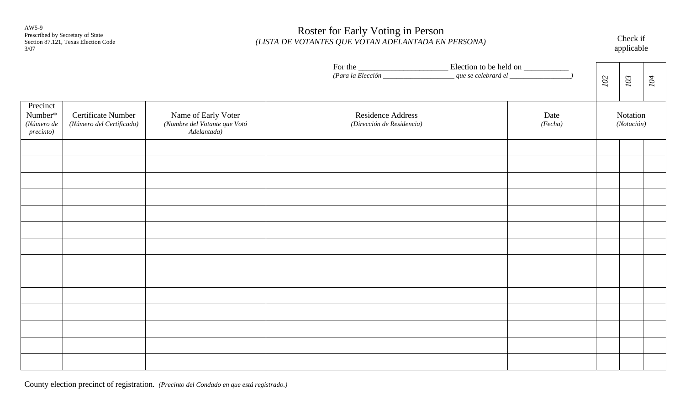AW5-9 Prescribed by Secretary of State Section 87.121, Texas Election Code 3/07

# Roster for Early Voting in Person *(LISTA DE VOTANTES QUE VOTAN ADELANTADA EN PERSONA)* Check if applicable

|                                                |                                                |                                                                    |                                                                   | $103\,$<br>102         | 104 |
|------------------------------------------------|------------------------------------------------|--------------------------------------------------------------------|-------------------------------------------------------------------|------------------------|-----|
| Precinct<br>Number*<br>(Número de<br>precinto) | Certificate Number<br>(Número del Certificado) | Name of Early Voter<br>(Nombre del Votante que Votó<br>Adelantada) | Residence Address<br>Date<br>(Fecha)<br>(Dirección de Residencia) | Notation<br>(Notación) |     |
|                                                |                                                |                                                                    |                                                                   |                        |     |
|                                                |                                                |                                                                    |                                                                   |                        |     |
|                                                |                                                |                                                                    |                                                                   |                        |     |
|                                                |                                                |                                                                    |                                                                   |                        |     |
|                                                |                                                |                                                                    |                                                                   |                        |     |
|                                                |                                                |                                                                    |                                                                   |                        |     |
|                                                |                                                |                                                                    |                                                                   |                        |     |

County election precinct of registration. *(Precinto del Condado en que está registrado.)*